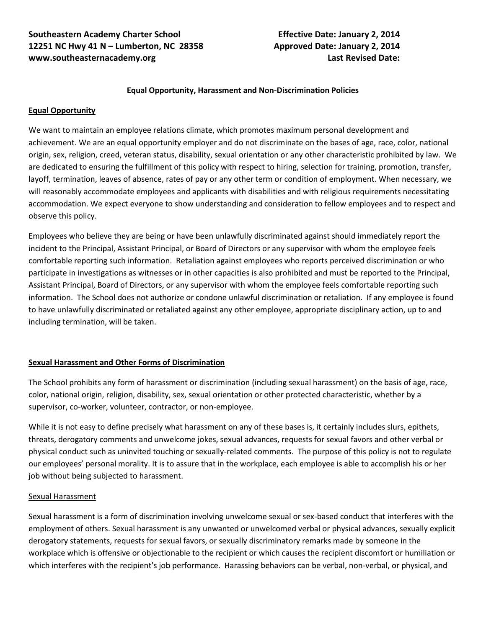## **Equal Opportunity, Harassment and Non-Discrimination Policies**

## **Equal Opportunity**

We want to maintain an employee relations climate, which promotes maximum personal development and achievement. We are an equal opportunity employer and do not discriminate on the bases of age, race, color, national origin, sex, religion, creed, veteran status, disability, sexual orientation or any other characteristic prohibited by law. We are dedicated to ensuring the fulfillment of this policy with respect to hiring, selection for training, promotion, transfer, layoff, termination, leaves of absence, rates of pay or any other term or condition of employment. When necessary, we will reasonably accommodate employees and applicants with disabilities and with religious requirements necessitating accommodation. We expect everyone to show understanding and consideration to fellow employees and to respect and observe this policy.

Employees who believe they are being or have been unlawfully discriminated against should immediately report the incident to the Principal, Assistant Principal, or Board of Directors or any supervisor with whom the employee feels comfortable reporting such information. Retaliation against employees who reports perceived discrimination or who participate in investigations as witnesses or in other capacities is also prohibited and must be reported to the Principal, Assistant Principal, Board of Directors, or any supervisor with whom the employee feels comfortable reporting such information. The School does not authorize or condone unlawful discrimination or retaliation. If any employee is found to have unlawfully discriminated or retaliated against any other employee, appropriate disciplinary action, up to and including termination, will be taken.

## **Sexual Harassment and Other Forms of Discrimination**

The School prohibits any form of harassment or discrimination (including sexual harassment) on the basis of age, race, color, national origin, religion, disability, sex, sexual orientation or other protected characteristic, whether by a supervisor, co-worker, volunteer, contractor, or non-employee.

While it is not easy to define precisely what harassment on any of these bases is, it certainly includes slurs, epithets, threats, derogatory comments and unwelcome jokes, sexual advances, requests for sexual favors and other verbal or physical conduct such as uninvited touching or sexually-related comments. The purpose of this policy is not to regulate our employees' personal morality. It is to assure that in the workplace, each employee is able to accomplish his or her job without being subjected to harassment.

## Sexual Harassment

Sexual harassment is a form of discrimination involving unwelcome sexual or sex-based conduct that interferes with the employment of others. Sexual harassment is any unwanted or unwelcomed verbal or physical advances, sexually explicit derogatory statements, requests for sexual favors, or sexually discriminatory remarks made by someone in the workplace which is offensive or objectionable to the recipient or which causes the recipient discomfort or humiliation or which interferes with the recipient's job performance. Harassing behaviors can be verbal, non-verbal, or physical, and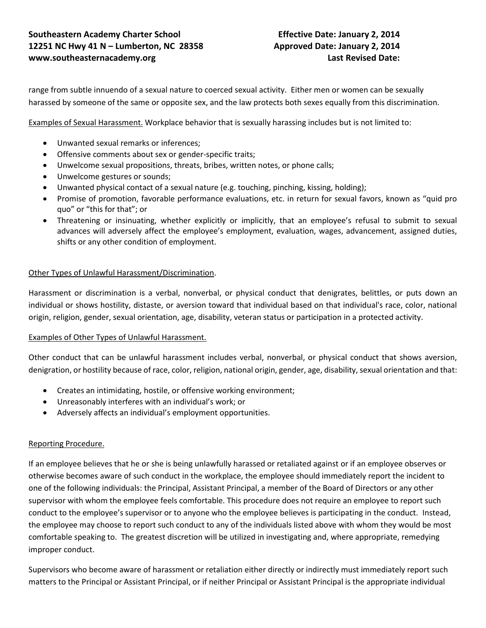range from subtle innuendo of a sexual nature to coerced sexual activity. Either men or women can be sexually harassed by someone of the same or opposite sex, and the law protects both sexes equally from this discrimination.

Examples of Sexual Harassment. Workplace behavior that is sexually harassing includes but is not limited to:

- Unwanted sexual remarks or inferences;
- Offensive comments about sex or gender-specific traits;
- Unwelcome sexual propositions, threats, bribes, written notes, or phone calls;
- Unwelcome gestures or sounds;
- Unwanted physical contact of a sexual nature (e.g. touching, pinching, kissing, holding);
- Promise of promotion, favorable performance evaluations, etc. in return for sexual favors, known as "quid pro quo" or "this for that"; or
- Threatening or insinuating, whether explicitly or implicitly, that an employee's refusal to submit to sexual advances will adversely affect the employee's employment, evaluation, wages, advancement, assigned duties, shifts or any other condition of employment.

## Other Types of Unlawful Harassment/Discrimination.

Harassment or discrimination is a verbal, nonverbal, or physical conduct that denigrates, belittles, or puts down an individual or shows hostility, distaste, or aversion toward that individual based on that individual's race, color, national origin, religion, gender, sexual orientation, age, disability, veteran status or participation in a protected activity.

## Examples of Other Types of Unlawful Harassment.

Other conduct that can be unlawful harassment includes verbal, nonverbal, or physical conduct that shows aversion, denigration, or hostility because of race, color, religion, national origin, gender, age, disability, sexual orientation and that:

- Creates an intimidating, hostile, or offensive working environment;
- Unreasonably interferes with an individual's work; or
- Adversely affects an individual's employment opportunities.

## Reporting Procedure.

If an employee believes that he or she is being unlawfully harassed or retaliated against or if an employee observes or otherwise becomes aware of such conduct in the workplace, the employee should immediately report the incident to one of the following individuals: the Principal, Assistant Principal, a member of the Board of Directors or any other supervisor with whom the employee feels comfortable. This procedure does not require an employee to report such conduct to the employee's supervisor or to anyone who the employee believes is participating in the conduct. Instead, the employee may choose to report such conduct to any of the individuals listed above with whom they would be most comfortable speaking to. The greatest discretion will be utilized in investigating and, where appropriate, remedying improper conduct.

Supervisors who become aware of harassment or retaliation either directly or indirectly must immediately report such matters to the Principal or Assistant Principal, or if neither Principal or Assistant Principal is the appropriate individual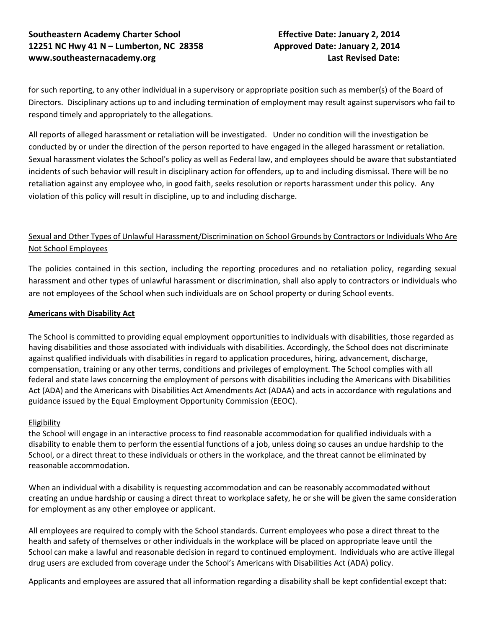# **Southeastern Academy Charter School Effective Date: January 2, 2014 12251 NC Hwy 41 N – Lumberton, NC 28358 Approved Date: January 2, 2014 [www.southeasternacademy.org](http://www.southeasternacademy.org/) Last Revised Date:**

for such reporting, to any other individual in a supervisory or appropriate position such as member(s) of the Board of Directors. Disciplinary actions up to and including termination of employment may result against supervisors who fail to respond timely and appropriately to the allegations.

All reports of alleged harassment or retaliation will be investigated. Under no condition will the investigation be conducted by or under the direction of the person reported to have engaged in the alleged harassment or retaliation. Sexual harassment violates the School's policy as well as Federal law, and employees should be aware that substantiated incidents of such behavior will result in disciplinary action for offenders, up to and including dismissal. There will be no retaliation against any employee who, in good faith, seeks resolution or reports harassment under this policy. Any violation of this policy will result in discipline, up to and including discharge.

# Sexual and Other Types of Unlawful Harassment/Discrimination on School Grounds by Contractors or Individuals Who Are Not School Employees

The policies contained in this section, including the reporting procedures and no retaliation policy, regarding sexual harassment and other types of unlawful harassment or discrimination, shall also apply to contractors or individuals who are not employees of the School when such individuals are on School property or during School events.

# **Americans with Disability Act**

The School is committed to providing equal employment opportunities to individuals with disabilities, those regarded as having disabilities and those associated with individuals with disabilities. Accordingly, the School does not discriminate against qualified individuals with disabilities in regard to application procedures, hiring, advancement, discharge, compensation, training or any other terms, conditions and privileges of employment. The School complies with all federal and state laws concerning the employment of persons with disabilities including the Americans with Disabilities Act (ADA) and the Americans with Disabilities Act Amendments Act (ADAA) and acts in accordance with regulations and guidance issued by the Equal Employment Opportunity Commission (EEOC).

## **Eligibility**

the School will engage in an interactive process to find reasonable accommodation for qualified individuals with a disability to enable them to perform the essential functions of a job, unless doing so causes an undue hardship to the School, or a direct threat to these individuals or others in the workplace, and the threat cannot be eliminated by reasonable accommodation.

When an individual with a disability is requesting accommodation and can be reasonably accommodated without creating an undue hardship or causing a direct threat to workplace safety, he or she will be given the same consideration for employment as any other employee or applicant.

All employees are required to comply with the School standards. Current employees who pose a direct threat to the health and safety of themselves or other individuals in the workplace will be placed on appropriate leave until the School can make a lawful and reasonable decision in regard to continued employment. Individuals who are active illegal drug users are excluded from coverage under the School's Americans with Disabilities Act (ADA) policy.

Applicants and employees are assured that all information regarding a disability shall be kept confidential except that: